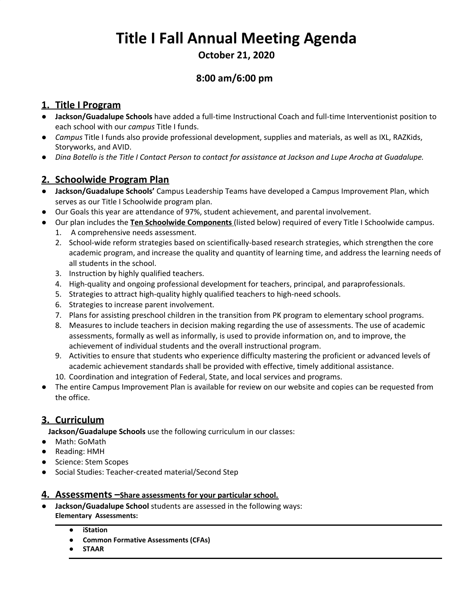# **Title I Fall Annual Meeting Agenda**

**October 21, 2020**

# **8:00 am/6:00 pm**

# **1. Title I Program**

- **Jackson/Guadalupe Schools** have added a full-time Instructional Coach and full-time Interventionist position to each school with our *campus* Title I funds.
- *Campus* Title I funds also provide professional development, supplies and materials, as well as IXL, RAZKids, Storyworks, and AVID.
- Dina Botello is the Title I Contact Person to contact for assistance at Jackson and Lupe Arocha at Guadalupe.

# **2. Schoolwide Program Plan**

- **Jackson/Guadalupe Schools'** Campus Leadership Teams have developed a Campus Improvement Plan, which serves as our Title I Schoolwide program plan.
- Our Goals this year are attendance of 97%, student achievement, and parental involvement.
- Our plan includes the **Ten Schoolwide Components** (listed below) required of every Title I Schoolwide campus.
	- 1. A comprehensive needs assessment.
	- 2. School-wide reform strategies based on scientifically-based research strategies, which strengthen the core academic program, and increase the quality and quantity of learning time, and address the learning needs of all students in the school.
	- 3. Instruction by highly qualified teachers.
	- 4. High-quality and ongoing professional development for teachers, principal, and paraprofessionals.
	- 5. Strategies to attract high-quality highly qualified teachers to high-need schools.
	- 6. Strategies to increase parent involvement.
	- 7. Plans for assisting preschool children in the transition from PK program to elementary school programs.
	- 8. Measures to include teachers in decision making regarding the use of assessments. The use of academic assessments, formally as well as informally, is used to provide information on, and to improve, the achievement of individual students and the overall instructional program.
	- 9. Activities to ensure that students who experience difficulty mastering the proficient or advanced levels of academic achievement standards shall be provided with effective, timely additional assistance.
	- 10. Coordination and integration of Federal, State, and local services and programs.
- The entire Campus Improvement Plan is available for review on our website and copies can be requested from the office.

# **3. Curriculum**

**Jackson/Guadalupe Schools** use the following curriculum in our classes:

- Math: GoMath
- Reading: HMH
- Science: Stem Scopes
- Social Studies: Teacher-created material/Second Step

#### **4. Assessments –Share assessments for your particular school.**

- **Jackson/Guadalupe School** students are assessed in the following ways: **Elementary Assessments:**
	- **● iStation**
	- **● Common Formative Assessments (CFAs)**
	- **● STAAR**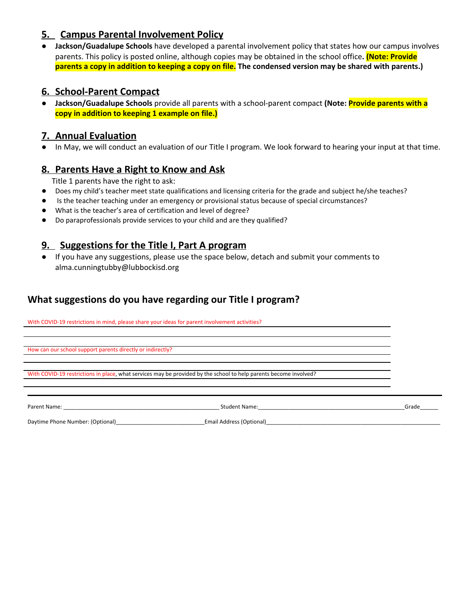### **5. Campus Parental Involvement Policy**

● **Jackson/Guadalupe Schools** have developed a parental involvement policy that states how our campus involves parents. This policy is posted online, although copies may be obtained in the school office**. (Note: Provide** parents a copy in addition to keeping a copy on file. The condensed version may be shared with parents.)

#### **6. School-Parent Compact**

● **Jackson/Guadalupe Schools** provide all parents with a school-parent compact **(Note: Provide parents with a copy in addition to keeping 1 example on file.)**

#### **7. Annual Evaluation**

● In May, we will conduct an evaluation of our Title I program. We look forward to hearing your input at that time.

#### **8. Parents Have a Right to Know and Ask**

Title 1 parents have the right to ask:

- Does my child's teacher meet state qualifications and licensing criteria for the grade and subject he/she teaches?
- Is the teacher teaching under an emergency or provisional status because of special circumstances?
- What is the teacher's area of certification and level of degree?
- Do paraprofessionals provide services to your child and are they qualified?

#### **9. Suggestions for the Title I, Part A program**

● If you have any suggestions, please use the space below, detach and submit your comments to alma.cunningtubby@lubbockisd.org

### **What suggestions do you have regarding our Title I program?**

With COVID-19 restrictions in mind, please share your ideas for parent involvement activities?

How can our school support parents directly or indirectly?

With COVID-19 restrictions in place, what services may be provided by the school to help parents become involved?

Parent Name: Camera Communication Communication Camera Communication Communication Communication Communication Communication Communication Communication Communication Communication Communication Communication Communication

Daytime Phone Number: (Optional)\_\_\_\_\_\_\_\_\_\_\_\_\_\_\_\_\_\_\_\_\_\_\_\_\_\_\_\_\_Email Address (Optional)\_\_\_\_\_\_\_\_\_\_\_\_\_\_\_\_\_\_\_\_\_\_\_\_\_\_\_\_\_\_\_\_\_\_\_\_\_\_\_\_\_\_\_\_\_\_\_\_\_\_\_\_\_\_\_\_\_